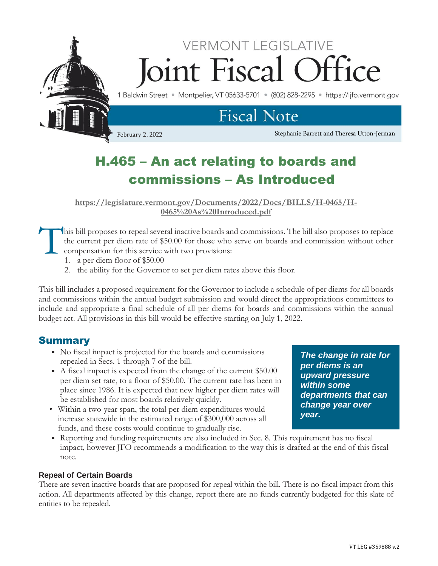

# H.465 – An act relating to boards and commissions – As Introduced

**[https://legislature.vermont.gov/Documents/2022/Docs/BILLS/H-0465/H-](https://legislature.vermont.gov/Documents/2022/Docs/BILLS/H-0465/H-0465%20As%20Introduced.pdf)[0465%20As%20Introduced.pdf](https://legislature.vermont.gov/Documents/2022/Docs/BILLS/H-0465/H-0465%20As%20Introduced.pdf)**

his bill proposes to repeal several inactive boards and commissions. The bill also proposes to replace the current per diem rate of \$50.00 for those who serve on boards and commission without other compensation for this service with two provisions: T

- 1. a per diem floor of \$50.00
- 2. the ability for the Governor to set per diem rates above this floor.

This bill includes a proposed requirement for the Governor to include a schedule of per diems for all boards and commissions within the annual budget submission and would direct the appropriations committees to include and appropriate a final schedule of all per diems for boards and commissions within the annual budget act. All provisions in this bill would be effective starting on July 1, 2022.

# Summary

- No fiscal impact is projected for the boards and commissions repealed in Secs. 1 through 7 of the bill.
- A fiscal impact is expected from the change of the current \$50.00 per diem set rate, to a floor of \$50.00. The current rate has been in place since 1986. It is expected that new higher per diem rates will be established for most boards relatively quickly.
- Within a two-year span, the total per diem expenditures would increase statewide in the estimated range of \$300,000 across all funds, and these costs would continue to gradually rise.

• Reporting and funding requirements are also included in Sec. 8. This requirement has no fiscal impact, however JFO recommends a modification to the way this is drafted at the end of this fiscal *year.*

## **Repeal of Certain Boards**

note.

There are seven inactive boards that are proposed for repeal within the bill. There is no fiscal impact from this action. All departments affected by this change, report there are no funds currently budgeted for this slate of entities to be repealed.

VT LEG #359888 v.2

*The change in rate for* 

*departments that can change year over*

*per diems is an upward pressure within some*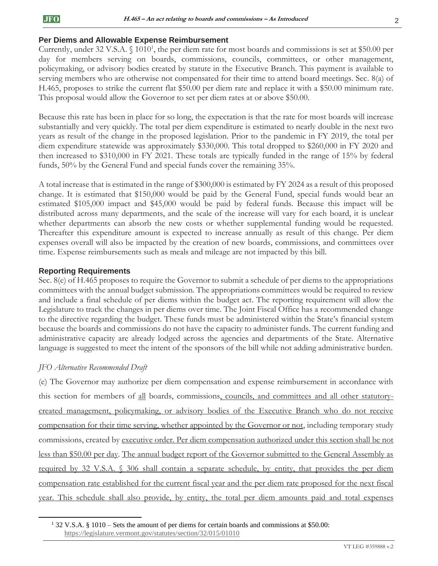### **Per Diems and Allowable Expense Reimbursement**

Currently, under 32 V.S.A.  $\S$  1010<sup>1</sup>, the per diem rate for most boards and commissions is set at \$50.00 per day for members serving on boards, commissions, councils, committees, or other management, policymaking, or advisory bodies created by statute in the Executive Branch. This payment is available to serving members who are otherwise not compensated for their time to attend board meetings. Sec. 8(a) of H.465, proposes to strike the current flat \$50.00 per diem rate and replace it with a \$50.00 minimum rate. This proposal would allow the Governor to set per diem rates at or above \$50.00.

Because this rate has been in place for so long, the expectation is that the rate for most boards will increase substantially and very quickly. The total per diem expenditure is estimated to nearly double in the next two years as result of the change in the proposed legislation. Prior to the pandemic in FY 2019, the total per diem expenditure statewide was approximately \$330,000. This total dropped to \$260,000 in FY 2020 and then increased to \$310,000 in FY 2021. These totals are typically funded in the range of 15% by federal funds, 50% by the General Fund and special funds cover the remaining 35%.

A total increase that is estimated in the range of \$300,000 is estimated by FY 2024 as a result of this proposed change. It is estimated that \$150,000 would be paid by the General Fund, special funds would bear an estimated \$105,000 impact and \$45,000 would be paid by federal funds. Because this impact will be distributed across many departments, and the scale of the increase will vary for each board, it is unclear whether departments can absorb the new costs or whether supplemental funding would be requested. Thereafter this expenditure amount is expected to increase annually as result of this change. Per diem expenses overall will also be impacted by the creation of new boards, commissions, and committees over time. Expense reimbursements such as meals and mileage are not impacted by this bill.

#### **Reporting Requirements**

Sec. 8(e) of H.465 proposes to require the Governor to submit a schedule of per diems to the appropriations committees with the annual budget submission. The appropriations committees would be required to review and include a final schedule of per diems within the budget act. The reporting requirement will allow the Legislature to track the changes in per diems over time. The Joint Fiscal Office has a recommended change to the directive regarding the budget. These funds must be administered within the State's financial system because the boards and commissions do not have the capacity to administer funds. The current funding and administrative capacity are already lodged across the agencies and departments of the State. Alternative language is suggested to meet the intent of the sponsors of the bill while not adding administrative burden.

#### *JFO Alternative Recommended Draft*

(e) The Governor may authorize per diem compensation and expense reimbursement in accordance with this section for members of all boards, commissions, councils, and committees and all other statutorycreated management, policymaking, or advisory bodies of the Executive Branch who do not receive compensation for their time serving, whether appointed by the Governor or not, including temporary study commissions, created by executive order. Per diem compensation authorized under this section shall be not less than \$50.00 per day. The annual budget report of the Governor submitted to the General Assembly as required by 32 V.S.A. § 306 shall contain a separate schedule, by entity, that provides the per diem compensation rate established for the current fiscal year and the per diem rate proposed for the next fiscal year. This schedule shall also provide, by entity, the total per diem amounts paid and total expenses

<sup>1</sup> 32 V.S.A. § 1010 – Sets the amount of per diems for certain boards and commissions at \$50.00: <https://legislature.vermont.gov/statutes/section/32/015/01010>